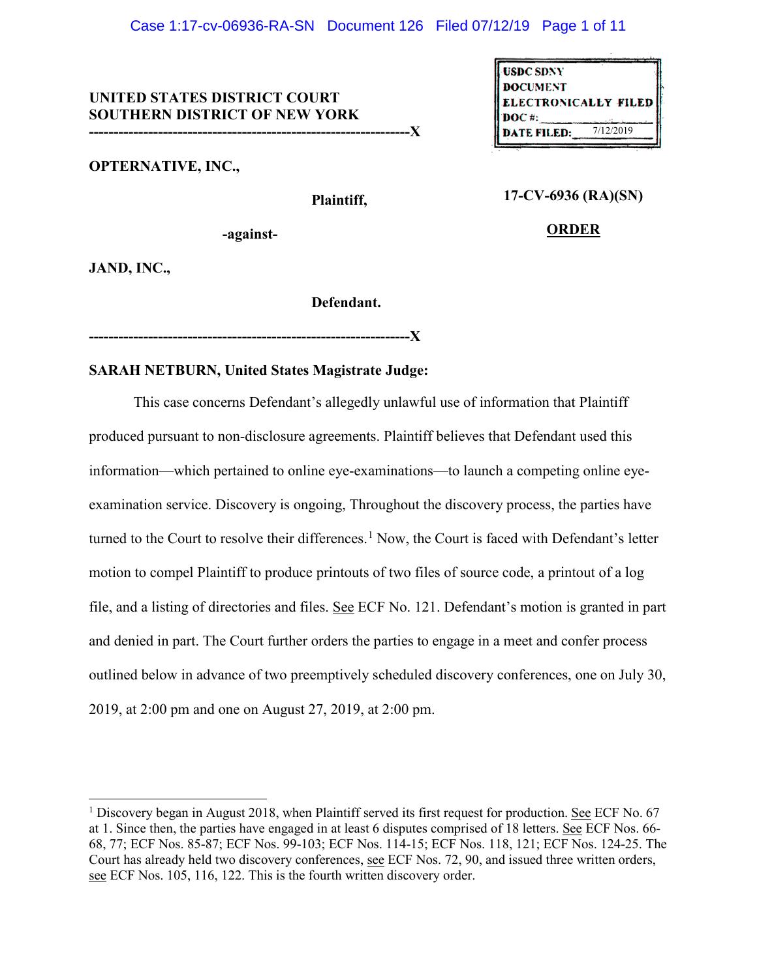### Case 1:17-cv-06936-RA-SN Document 126 Filed 07/12/19 Page 1 of 11

# **UNITED STATES DISTRICT COURT SOUTHERN DISTRICT OF NEW YORK**

**-----------------------------------------------------------------X** 

**OPTERNATIVE, INC.,** 

 **Plaintiff,** 

| <b>USDC SDNY</b>                        |           |
|-----------------------------------------|-----------|
| <b>DOCUMENT</b><br>ELECTRONICALLY FILED |           |
|                                         |           |
| <b>DATE FILED:</b>                      | 7/12/2019 |

## **17-CV-6936 (RA)(SN)**

**-against-**

**ORDER**

**JAND, INC.,**

 $\overline{a}$ 

### **Defendant.**

**-----------------------------------------------------------------X** 

### **SARAH NETBURN, United States Magistrate Judge:**

This case concerns Defendant's allegedly unlawful use of information that Plaintiff produced pursuant to non-disclosure agreements. Plaintiff believes that Defendant used this information—which pertained to online eye-examinations—to launch a competing online eyeexamination service. Discovery is ongoing, Throughout the discovery process, the parties have turned to the Court to resolve their differences.<sup>[1](#page-0-0)</sup> Now, the Court is faced with Defendant's letter motion to compel Plaintiff to produce printouts of two files of source code, a printout of a log file, and a listing of directories and files. See ECF No. 121. Defendant's motion is granted in part and denied in part. The Court further orders the parties to engage in a meet and confer process outlined below in advance of two preemptively scheduled discovery conferences, one on July 30, 2019, at 2:00 pm and one on August 27, 2019, at 2:00 pm.

<span id="page-0-0"></span><sup>&</sup>lt;sup>1</sup> Discovery began in August 2018, when Plaintiff served its first request for production. See ECF No. 67 at 1. Since then, the parties have engaged in at least 6 disputes comprised of 18 letters. See ECF Nos. 66- 68, 77; ECF Nos. 85-87; ECF Nos. 99-103; ECF Nos. 114-15; ECF Nos. 118, 121; ECF Nos. 124-25. The Court has already held two discovery conferences, see ECF Nos. 72, 90, and issued three written orders, see ECF Nos. 105, 116, 122. This is the fourth written discovery order.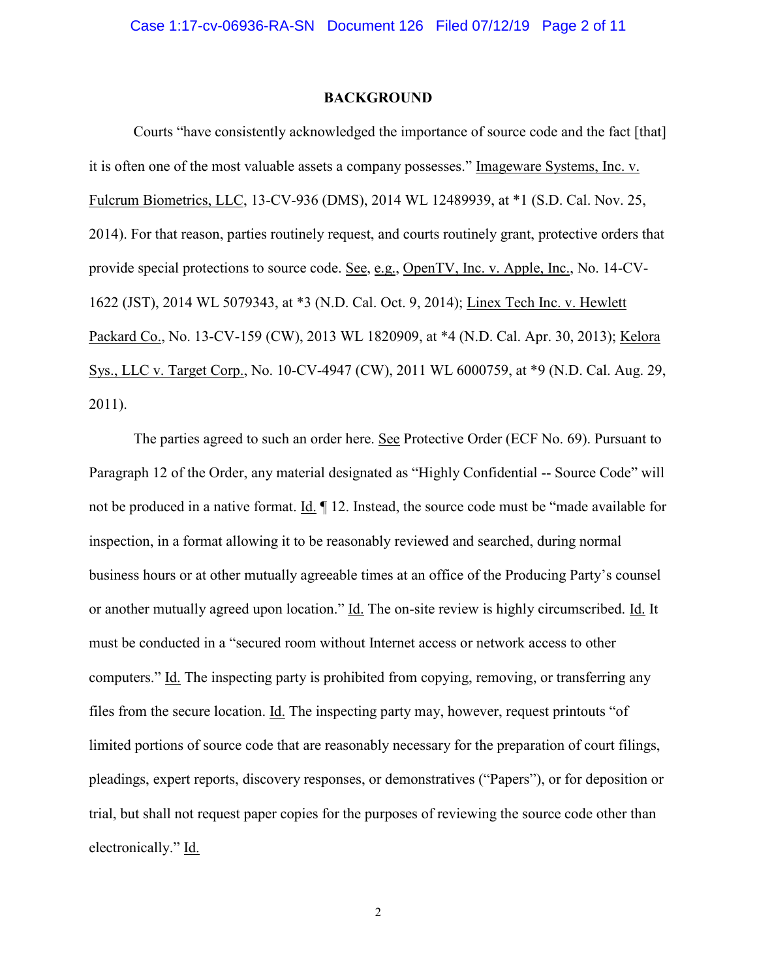### **BACKGROUND**

Courts "have consistently acknowledged the importance of source code and the fact [that] it is often one of the most valuable assets a company possesses." Imageware Systems, Inc. v. Fulcrum Biometrics, LLC, 13-CV-936 (DMS), 2014 WL 12489939, at \*1 (S.D. Cal. Nov. 25, 2014). For that reason, parties routinely request, and courts routinely grant, protective orders that provide special protections to source code. See, e.g., OpenTV, Inc. v. Apple, Inc., No. 14-CV-1622 (JST), 2014 WL 5079343, at \*3 (N.D. Cal. Oct. 9, 2014); Linex Tech Inc. v. Hewlett Packard Co., No. 13-CV-159 (CW), 2013 WL 1820909, at \*4 (N.D. Cal. Apr. 30, 2013); Kelora Sys., LLC v. Target Corp., No. 10-CV-4947 (CW), 2011 WL 6000759, at \*9 (N.D. Cal. Aug. 29, 2011).

The parties agreed to such an order here. See Protective Order (ECF No. 69). Pursuant to Paragraph 12 of the Order, any material designated as "Highly Confidential -- Source Code" will not be produced in a native format. Id. ¶ 12. Instead, the source code must be "made available for inspection, in a format allowing it to be reasonably reviewed and searched, during normal business hours or at other mutually agreeable times at an office of the Producing Party's counsel or another mutually agreed upon location." Id. The on-site review is highly circumscribed. Id. It must be conducted in a "secured room without Internet access or network access to other computers." Id. The inspecting party is prohibited from copying, removing, or transferring any files from the secure location. Id. The inspecting party may, however, request printouts "of limited portions of source code that are reasonably necessary for the preparation of court filings, pleadings, expert reports, discovery responses, or demonstratives ("Papers"), or for deposition or trial, but shall not request paper copies for the purposes of reviewing the source code other than electronically." Id.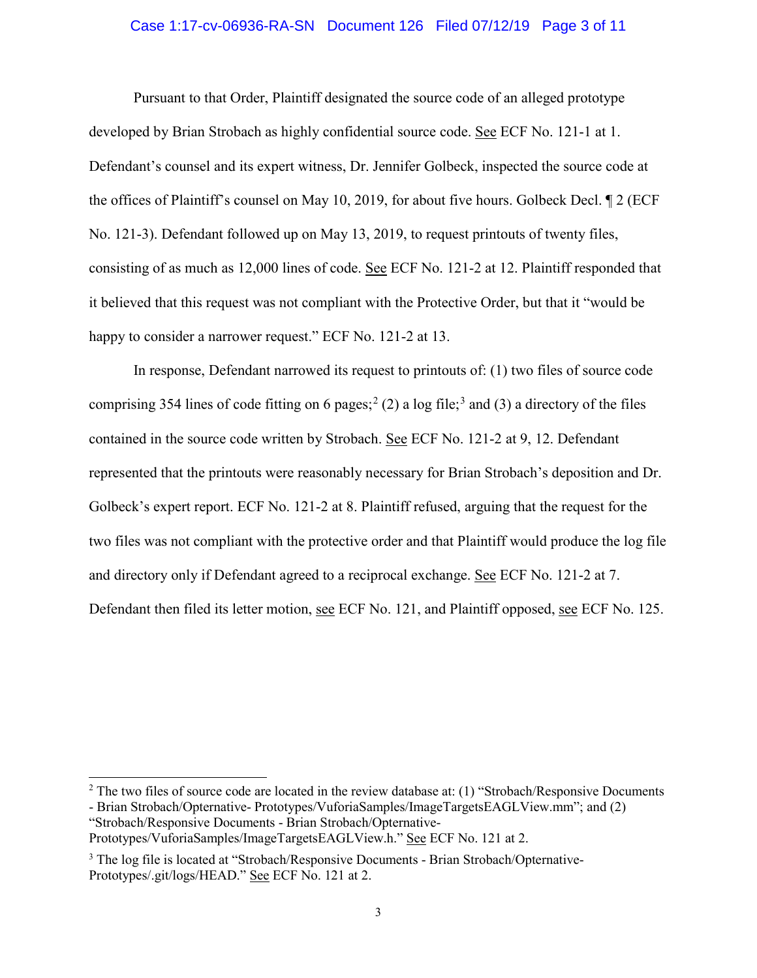### Case 1:17-cv-06936-RA-SN Document 126 Filed 07/12/19 Page 3 of 11

Pursuant to that Order, Plaintiff designated the source code of an alleged prototype developed by Brian Strobach as highly confidential source code. See ECF No. 121-1 at 1. Defendant's counsel and its expert witness, Dr. Jennifer Golbeck, inspected the source code at the offices of Plaintiff's counsel on May 10, 2019, for about five hours. Golbeck Decl. ¶ 2 (ECF No. 121-3). Defendant followed up on May 13, 2019, to request printouts of twenty files, consisting of as much as 12,000 lines of code. See ECF No. 121-2 at 12. Plaintiff responded that it believed that this request was not compliant with the Protective Order, but that it "would be happy to consider a narrower request." ECF No. 121-2 at 13.

In response, Defendant narrowed its request to printouts of: (1) two files of source code comprising 354 lines of code fitting on 6 pages;<sup>[2](#page-2-0)</sup> (2) a log file;<sup>[3](#page-2-1)</sup> and (3) a directory of the files contained in the source code written by Strobach. See ECF No. 121-2 at 9, 12. Defendant represented that the printouts were reasonably necessary for Brian Strobach's deposition and Dr. Golbeck's expert report. ECF No. 121-2 at 8. Plaintiff refused, arguing that the request for the two files was not compliant with the protective order and that Plaintiff would produce the log file and directory only if Defendant agreed to a reciprocal exchange. See ECF No. 121-2 at 7. Defendant then filed its letter motion, see ECF No. 121, and Plaintiff opposed, see ECF No. 125.

 $\overline{a}$ 

<span id="page-2-0"></span><sup>&</sup>lt;sup>2</sup> The two files of source code are located in the review database at: (1) "Strobach/Responsive Documents

<sup>-</sup> Brian Strobach/Opternative- Prototypes/VuforiaSamples/ImageTargetsEAGLView.mm"; and (2) "Strobach/Responsive Documents - Brian Strobach/Opternative-

Prototypes/VuforiaSamples/ImageTargetsEAGLView.h." See ECF No. 121 at 2.

<span id="page-2-1"></span><sup>&</sup>lt;sup>3</sup> The log file is located at "Strobach/Responsive Documents - Brian Strobach/Opternative-Prototypes/.git/logs/HEAD." See ECF No. 121 at 2.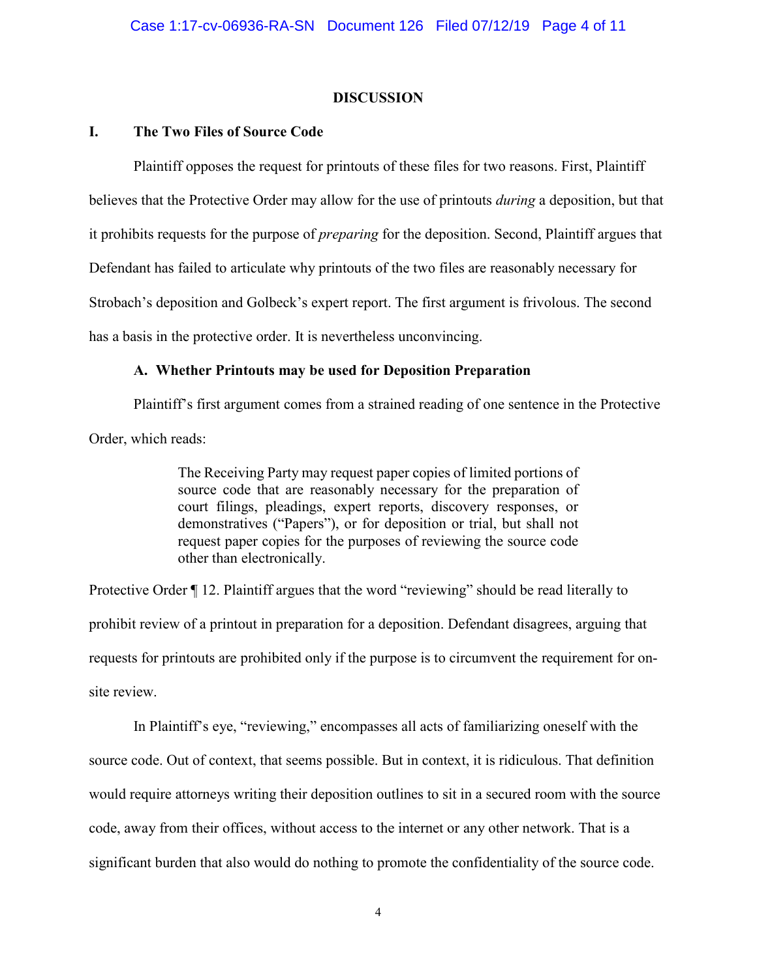## **DISCUSSION**

## **I. The Two Files of Source Code**

Plaintiff opposes the request for printouts of these files for two reasons. First, Plaintiff believes that the Protective Order may allow for the use of printouts *during* a deposition, but that it prohibits requests for the purpose of *preparing* for the deposition. Second, Plaintiff argues that Defendant has failed to articulate why printouts of the two files are reasonably necessary for Strobach's deposition and Golbeck's expert report. The first argument is frivolous. The second has a basis in the protective order. It is nevertheless unconvincing.

## **A. Whether Printouts may be used for Deposition Preparation**

Plaintiff's first argument comes from a strained reading of one sentence in the Protective Order, which reads:

> The Receiving Party may request paper copies of limited portions of source code that are reasonably necessary for the preparation of court filings, pleadings, expert reports, discovery responses, or demonstratives ("Papers"), or for deposition or trial, but shall not request paper copies for the purposes of reviewing the source code other than electronically.

Protective Order  $\P$  12. Plaintiff argues that the word "reviewing" should be read literally to prohibit review of a printout in preparation for a deposition. Defendant disagrees, arguing that requests for printouts are prohibited only if the purpose is to circumvent the requirement for onsite review.

In Plaintiff's eye, "reviewing," encompasses all acts of familiarizing oneself with the source code. Out of context, that seems possible. But in context, it is ridiculous. That definition would require attorneys writing their deposition outlines to sit in a secured room with the source code, away from their offices, without access to the internet or any other network. That is a significant burden that also would do nothing to promote the confidentiality of the source code.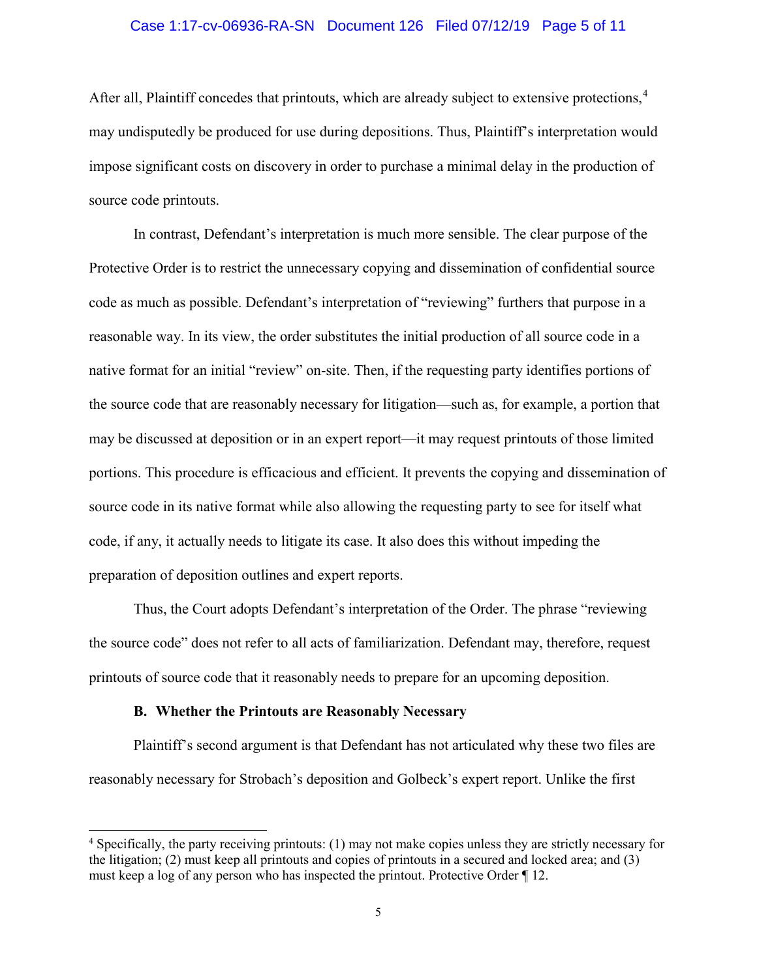### Case 1:17-cv-06936-RA-SN Document 126 Filed 07/12/19 Page 5 of 11

After all, Plaintiff concedes that printouts, which are already subject to extensive protections,<sup>[4](#page-4-0)</sup> may undisputedly be produced for use during depositions. Thus, Plaintiff's interpretation would impose significant costs on discovery in order to purchase a minimal delay in the production of source code printouts.

In contrast, Defendant's interpretation is much more sensible. The clear purpose of the Protective Order is to restrict the unnecessary copying and dissemination of confidential source code as much as possible. Defendant's interpretation of "reviewing" furthers that purpose in a reasonable way. In its view, the order substitutes the initial production of all source code in a native format for an initial "review" on-site. Then, if the requesting party identifies portions of the source code that are reasonably necessary for litigation—such as, for example, a portion that may be discussed at deposition or in an expert report—it may request printouts of those limited portions. This procedure is efficacious and efficient. It prevents the copying and dissemination of source code in its native format while also allowing the requesting party to see for itself what code, if any, it actually needs to litigate its case. It also does this without impeding the preparation of deposition outlines and expert reports.

Thus, the Court adopts Defendant's interpretation of the Order. The phrase "reviewing the source code" does not refer to all acts of familiarization. Defendant may, therefore, request printouts of source code that it reasonably needs to prepare for an upcoming deposition.

#### **B. Whether the Printouts are Reasonably Necessary**

 $\overline{a}$ 

Plaintiff's second argument is that Defendant has not articulated why these two files are reasonably necessary for Strobach's deposition and Golbeck's expert report. Unlike the first

<span id="page-4-0"></span><sup>&</sup>lt;sup>4</sup> Specifically, the party receiving printouts: (1) may not make copies unless they are strictly necessary for the litigation; (2) must keep all printouts and copies of printouts in a secured and locked area; and (3) must keep a log of any person who has inspected the printout. Protective Order ¶ 12.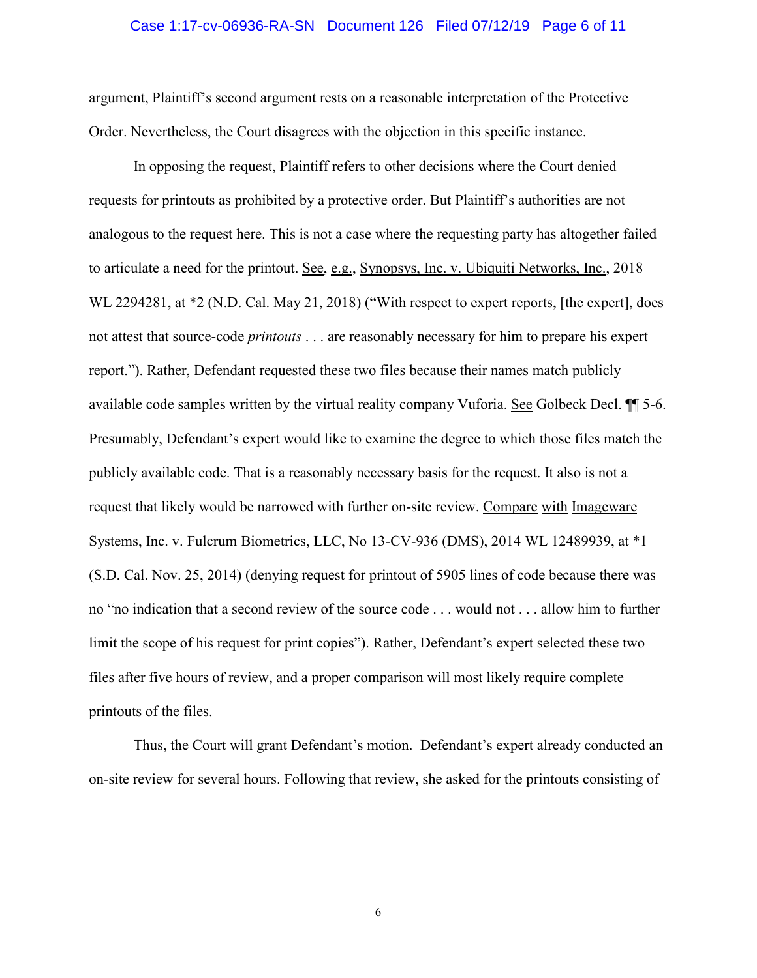### Case 1:17-cv-06936-RA-SN Document 126 Filed 07/12/19 Page 6 of 11

argument, Plaintiff's second argument rests on a reasonable interpretation of the Protective Order. Nevertheless, the Court disagrees with the objection in this specific instance.

In opposing the request, Plaintiff refers to other decisions where the Court denied requests for printouts as prohibited by a protective order. But Plaintiff's authorities are not analogous to the request here. This is not a case where the requesting party has altogether failed to articulate a need for the printout. See, e.g., Synopsys, Inc. v. Ubiquiti Networks, Inc., 2018 WL 2294281, at  $*2$  (N.D. Cal. May 21, 2018) ("With respect to expert reports, [the expert], does not attest that source-code *printouts* . . . are reasonably necessary for him to prepare his expert report."). Rather, Defendant requested these two files because their names match publicly available code samples written by the virtual reality company Vuforia. See Golbeck Decl. ¶¶ 5-6. Presumably, Defendant's expert would like to examine the degree to which those files match the publicly available code. That is a reasonably necessary basis for the request. It also is not a request that likely would be narrowed with further on-site review. Compare with Imageware Systems, Inc. v. Fulcrum Biometrics, LLC, No 13-CV-936 (DMS), 2014 WL 12489939, at \*1 (S.D. Cal. Nov. 25, 2014) (denying request for printout of 5905 lines of code because there was no "no indication that a second review of the source code . . . would not . . . allow him to further limit the scope of his request for print copies"). Rather, Defendant's expert selected these two files after five hours of review, and a proper comparison will most likely require complete printouts of the files.

Thus, the Court will grant Defendant's motion. Defendant's expert already conducted an on-site review for several hours. Following that review, she asked for the printouts consisting of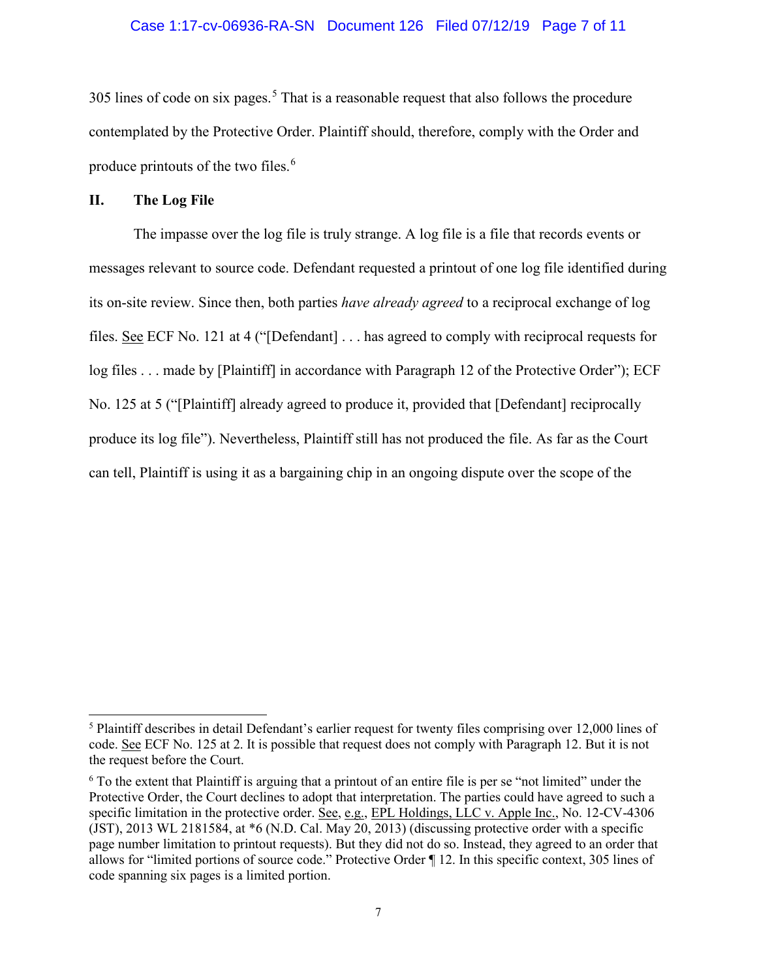### Case 1:17-cv-06936-RA-SN Document 126 Filed 07/12/19 Page 7 of 11

 $305$  $305$  lines of code on six pages.<sup>5</sup> That is a reasonable request that also follows the procedure contemplated by the Protective Order. Plaintiff should, therefore, comply with the Order and produce printouts of the two files.[6](#page-6-1)

### **II. The Log File**

 $\overline{a}$ 

The impasse over the log file is truly strange. A log file is a file that records events or messages relevant to source code. Defendant requested a printout of one log file identified during its on-site review. Since then, both parties *have already agreed* to a reciprocal exchange of log files. See ECF No. 121 at 4 ("[Defendant] . . . has agreed to comply with reciprocal requests for log files . . . made by [Plaintiff] in accordance with Paragraph 12 of the Protective Order"); ECF No. 125 at 5 ("[Plaintiff] already agreed to produce it, provided that [Defendant] reciprocally produce its log file"). Nevertheless, Plaintiff still has not produced the file. As far as the Court can tell, Plaintiff is using it as a bargaining chip in an ongoing dispute over the scope of the

<span id="page-6-0"></span><sup>&</sup>lt;sup>5</sup> Plaintiff describes in detail Defendant's earlier request for twenty files comprising over 12,000 lines of code. See ECF No. 125 at 2. It is possible that request does not comply with Paragraph 12. But it is not the request before the Court.

<span id="page-6-1"></span><sup>6</sup> To the extent that Plaintiff is arguing that a printout of an entire file is per se "not limited" under the Protective Order, the Court declines to adopt that interpretation. The parties could have agreed to such a specific limitation in the protective order. See, e.g., EPL Holdings, LLC v. Apple Inc., No. 12-CV-4306 (JST), 2013 WL 2181584, at \*6 (N.D. Cal. May 20, 2013) (discussing protective order with a specific page number limitation to printout requests). But they did not do so. Instead, they agreed to an order that allows for "limited portions of source code." Protective Order ¶ 12. In this specific context, 305 lines of code spanning six pages is a limited portion.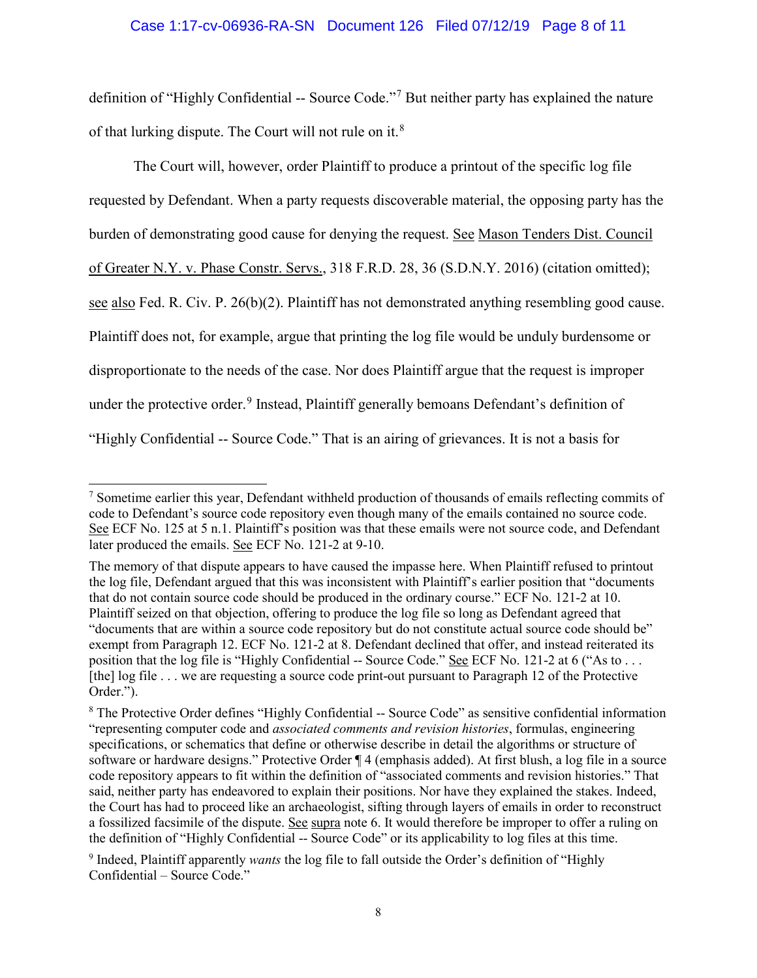## Case 1:17-cv-06936-RA-SN Document 126 Filed 07/12/19 Page 8 of 11

definition of "Highly Confidential -- Source Code."[7](#page-7-0) But neither party has explained the nature of that lurking dispute. The Court will not rule on it.<sup>[8](#page-7-1)</sup>

The Court will, however, order Plaintiff to produce a printout of the specific log file requested by Defendant. When a party requests discoverable material, the opposing party has the burden of demonstrating good cause for denying the request. See Mason Tenders Dist. Council of Greater N.Y. v. Phase Constr. Servs., 318 F.R.D. 28, 36 (S.D.N.Y. 2016) (citation omitted); see also Fed. R. Civ. P. 26(b)(2). Plaintiff has not demonstrated anything resembling good cause. Plaintiff does not, for example, argue that printing the log file would be unduly burdensome or disproportionate to the needs of the case. Nor does Plaintiff argue that the request is improper under the protective order.<sup>[9](#page-7-2)</sup> Instead, Plaintiff generally bemoans Defendant's definition of "Highly Confidential -- Source Code." That is an airing of grievances. It is not a basis for

<span id="page-7-0"></span> $\overline{a}$ <sup>7</sup> Sometime earlier this year, Defendant withheld production of thousands of emails reflecting commits of code to Defendant's source code repository even though many of the emails contained no source code. See ECF No. 125 at 5 n.1. Plaintiff's position was that these emails were not source code, and Defendant later produced the emails. See ECF No. 121-2 at 9-10.

The memory of that dispute appears to have caused the impasse here. When Plaintiff refused to printout the log file, Defendant argued that this was inconsistent with Plaintiff's earlier position that "documents that do not contain source code should be produced in the ordinary course." ECF No. 121-2 at 10. Plaintiff seized on that objection, offering to produce the log file so long as Defendant agreed that "documents that are within a source code repository but do not constitute actual source code should be" exempt from Paragraph 12. ECF No. 121-2 at 8. Defendant declined that offer, and instead reiterated its position that the log file is "Highly Confidential -- Source Code." See ECF No. 121-2 at 6 ("As to ... [the] log file . . . we are requesting a source code print-out pursuant to Paragraph 12 of the Protective Order.").

<span id="page-7-1"></span><sup>&</sup>lt;sup>8</sup> The Protective Order defines "Highly Confidential -- Source Code" as sensitive confidential information "representing computer code and *associated comments and revision histories*, formulas, engineering specifications, or schematics that define or otherwise describe in detail the algorithms or structure of software or hardware designs." Protective Order ¶ 4 (emphasis added). At first blush, a log file in a source code repository appears to fit within the definition of "associated comments and revision histories." That said, neither party has endeavored to explain their positions. Nor have they explained the stakes. Indeed, the Court has had to proceed like an archaeologist, sifting through layers of emails in order to reconstruct a fossilized facsimile of the dispute. See supra note 6. It would therefore be improper to offer a ruling on the definition of "Highly Confidential -- Source Code" or its applicability to log files at this time.

<span id="page-7-2"></span><sup>9</sup> Indeed, Plaintiff apparently *wants* the log file to fall outside the Order's definition of "Highly Confidential – Source Code."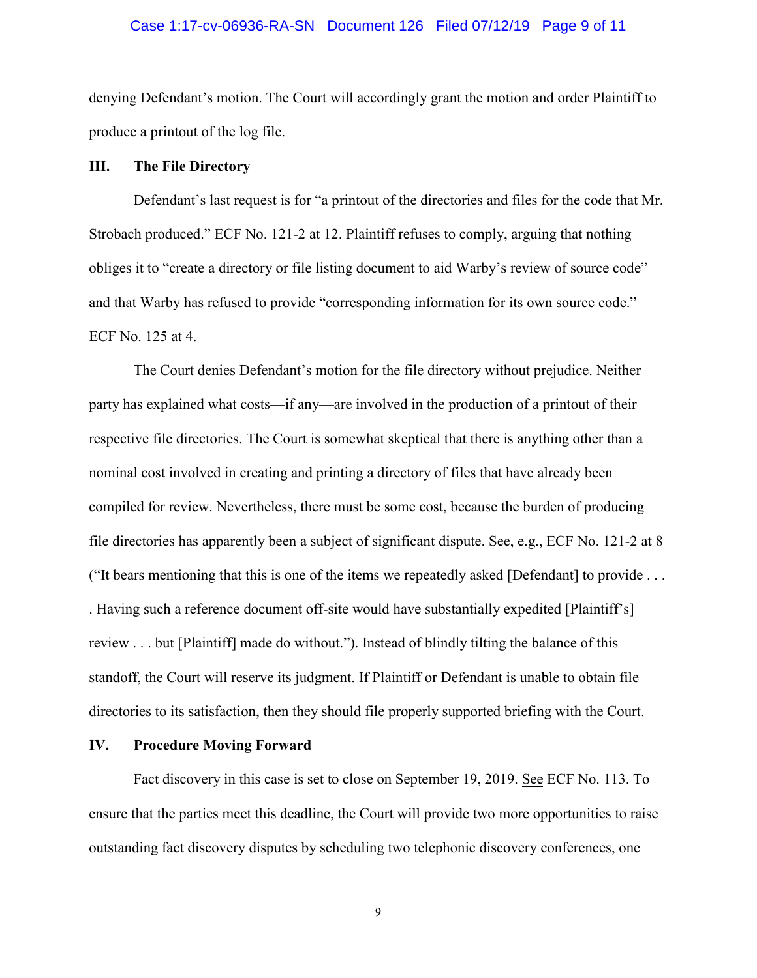### Case 1:17-cv-06936-RA-SN Document 126 Filed 07/12/19 Page 9 of 11

denying Defendant's motion. The Court will accordingly grant the motion and order Plaintiff to produce a printout of the log file.

### **III. The File Directory**

Defendant's last request is for "a printout of the directories and files for the code that Mr. Strobach produced." ECF No. 121-2 at 12. Plaintiff refuses to comply, arguing that nothing obliges it to "create a directory or file listing document to aid Warby's review of source code" and that Warby has refused to provide "corresponding information for its own source code." ECF No. 125 at 4.

The Court denies Defendant's motion for the file directory without prejudice. Neither party has explained what costs—if any—are involved in the production of a printout of their respective file directories. The Court is somewhat skeptical that there is anything other than a nominal cost involved in creating and printing a directory of files that have already been compiled for review. Nevertheless, there must be some cost, because the burden of producing file directories has apparently been a subject of significant dispute. See, e.g., ECF No. 121-2 at 8 ("It bears mentioning that this is one of the items we repeatedly asked [Defendant] to provide . . . . Having such a reference document off-site would have substantially expedited [Plaintiff's] review . . . but [Plaintiff] made do without."). Instead of blindly tilting the balance of this standoff, the Court will reserve its judgment. If Plaintiff or Defendant is unable to obtain file directories to its satisfaction, then they should file properly supported briefing with the Court.

### **IV. Procedure Moving Forward**

Fact discovery in this case is set to close on September 19, 2019. See ECF No. 113. To ensure that the parties meet this deadline, the Court will provide two more opportunities to raise outstanding fact discovery disputes by scheduling two telephonic discovery conferences, one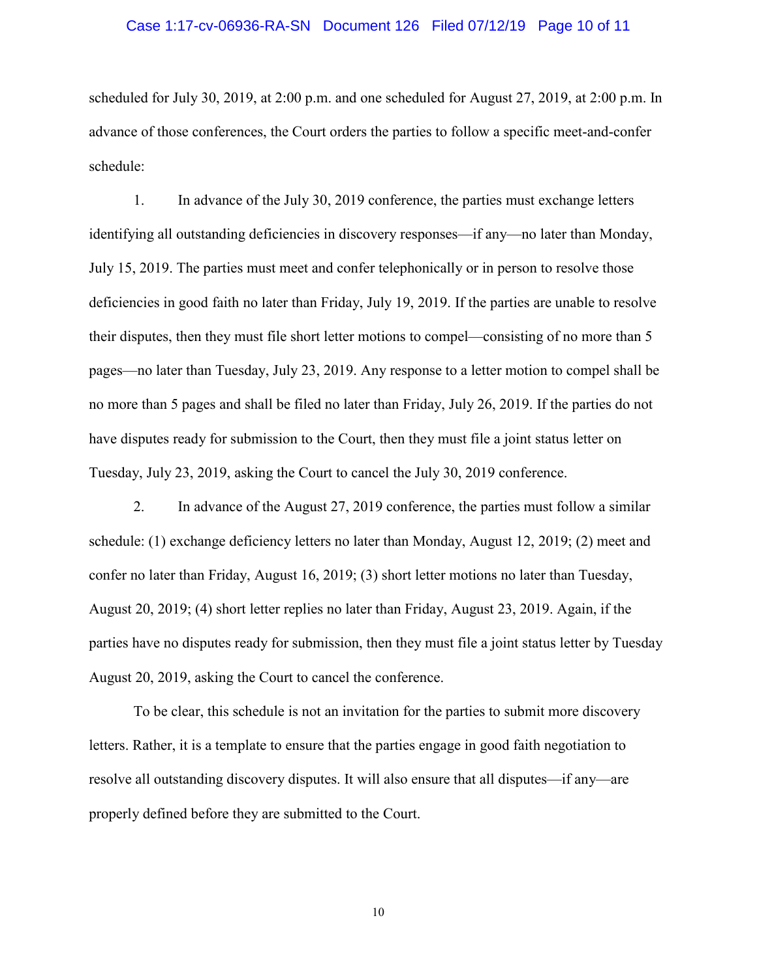### Case 1:17-cv-06936-RA-SN Document 126 Filed 07/12/19 Page 10 of 11

scheduled for July 30, 2019, at 2:00 p.m. and one scheduled for August 27, 2019, at 2:00 p.m. In advance of those conferences, the Court orders the parties to follow a specific meet-and-confer schedule:

1. In advance of the July 30, 2019 conference, the parties must exchange letters identifying all outstanding deficiencies in discovery responses—if any—no later than Monday, July 15, 2019. The parties must meet and confer telephonically or in person to resolve those deficiencies in good faith no later than Friday, July 19, 2019. If the parties are unable to resolve their disputes, then they must file short letter motions to compel—consisting of no more than 5 pages—no later than Tuesday, July 23, 2019. Any response to a letter motion to compel shall be no more than 5 pages and shall be filed no later than Friday, July 26, 2019. If the parties do not have disputes ready for submission to the Court, then they must file a joint status letter on Tuesday, July 23, 2019, asking the Court to cancel the July 30, 2019 conference.

2. In advance of the August 27, 2019 conference, the parties must follow a similar schedule: (1) exchange deficiency letters no later than Monday, August 12, 2019; (2) meet and confer no later than Friday, August 16, 2019; (3) short letter motions no later than Tuesday, August 20, 2019; (4) short letter replies no later than Friday, August 23, 2019. Again, if the parties have no disputes ready for submission, then they must file a joint status letter by Tuesday August 20, 2019, asking the Court to cancel the conference.

To be clear, this schedule is not an invitation for the parties to submit more discovery letters. Rather, it is a template to ensure that the parties engage in good faith negotiation to resolve all outstanding discovery disputes. It will also ensure that all disputes—if any—are properly defined before they are submitted to the Court.